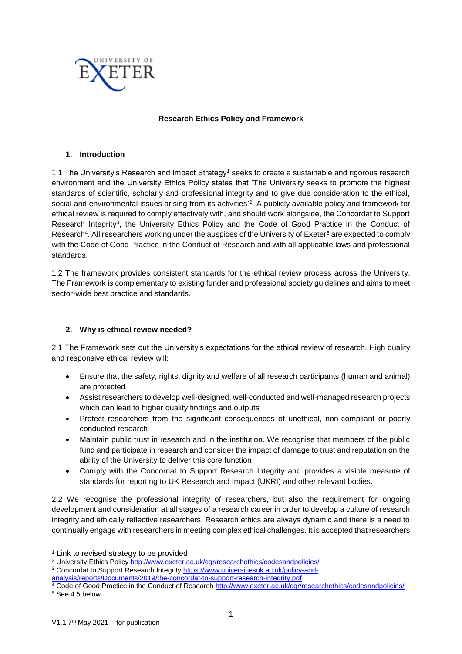

### **Research Ethics Policy and Framework**

### **1. Introduction**

1.1 The University's Research and Impact Strategy<sup>1</sup> seeks to create a sustainable and rigorous research environment and the University Ethics Policy states that 'The University seeks to promote the highest standards of scientific, scholarly and professional integrity and to give due consideration to the ethical, social and environmental issues arising from its activities'<sup>2</sup>. A publicly available policy and framework for ethical review is required to comply effectively with, and should work alongside, the Concordat to Support Research Integrity<sup>3</sup>, the University Ethics Policy and the Code of Good Practice in the Conduct of Research<sup>4</sup>. All researchers working under the auspices of the University of Exeter<sup>5</sup> are expected to comply with the Code of Good Practice in the Conduct of Research and with all applicable laws and professional standards.

1.2 The framework provides consistent standards for the ethical review process across the University. The Framework is complementary to existing funder and professional society guidelines and aims to meet sector-wide best practice and standards.

### **2. Why is ethical review needed?**

2.1 The Framework sets out the University's expectations for the ethical review of research. High quality and responsive ethical review will:

- Ensure that the safety, rights, dignity and welfare of all research participants (human and animal) are protected
- Assist researchers to develop well-designed, well-conducted and well-managed research projects which can lead to higher quality findings and outputs
- Protect researchers from the significant consequences of unethical, non-compliant or poorly conducted research
- Maintain public trust in research and in the institution. We recognise that members of the public fund and participate in research and consider the impact of damage to trust and reputation on the ability of the University to deliver this core function
- Comply with the Concordat to Support Research Integrity and provides a visible measure of standards for reporting to UK Research and Impact (UKRI) and other relevant bodies.

2.2 We recognise the professional integrity of researchers, but also the requirement for ongoing development and consideration at all stages of a research career in order to develop a culture of research integrity and ethically reflective researchers. Research ethics are always dynamic and there is a need to continually engage with researchers in meeting complex ethical challenges. It is accepted that researchers

[analysis/reports/Documents/2019/the-concordat-to-support-research-integrity.pdf](https://www.universitiesuk.ac.uk/policy-and-analysis/reports/Documents/2019/the-concordat-to-support-research-integrity.pdf)

**.** 

<sup>&</sup>lt;sup>1</sup> Link to revised strategy to be provided

<sup>&</sup>lt;sup>2</sup> University Ethics Policy<http://www.exeter.ac.uk/cgr/researchethics/codesandpolicies/>

<sup>3</sup> Concordat to Support Research Integrity [https://www.universitiesuk.ac.uk/policy-and-](https://www.universitiesuk.ac.uk/policy-and-analysis/reports/Documents/2019/the-concordat-to-support-research-integrity.pdf)

<sup>4</sup> Code of Good Practice in the Conduct of Researc[h http://www.exeter.ac.uk/cgr/researchethics/codesandpolicies/](http://www.exeter.ac.uk/cgr/researchethics/codesandpolicies/) <sup>5</sup> See 4.5 below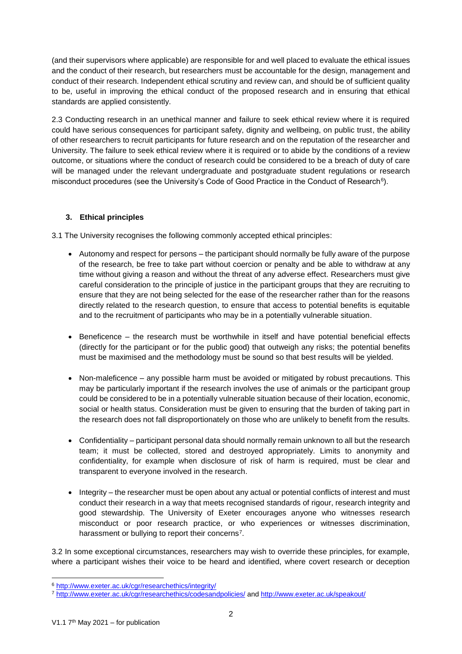(and their supervisors where applicable) are responsible for and well placed to evaluate the ethical issues and the conduct of their research, but researchers must be accountable for the design, management and conduct of their research. Independent ethical scrutiny and review can, and should be of sufficient quality to be, useful in improving the ethical conduct of the proposed research and in ensuring that ethical standards are applied consistently.

2.3 Conducting research in an unethical manner and failure to seek ethical review where it is required could have serious consequences for participant safety, dignity and wellbeing, on public trust, the ability of other researchers to recruit participants for future research and on the reputation of the researcher and University. The failure to seek ethical review where it is required or to abide by the conditions of a review outcome, or situations where the conduct of research could be considered to be a breach of duty of care will be managed under the relevant undergraduate and postgraduate student regulations or research misconduct procedures (see the University's Code of Good Practice in the Conduct of Research<sup>6</sup>).

# **3. Ethical principles**

3.1 The University recognises the following commonly accepted ethical principles:

- Autonomy and respect for persons the participant should normally be fully aware of the purpose of the research, be free to take part without coercion or penalty and be able to withdraw at any time without giving a reason and without the threat of any adverse effect. Researchers must give careful consideration to the principle of justice in the participant groups that they are recruiting to ensure that they are not being selected for the ease of the researcher rather than for the reasons directly related to the research question, to ensure that access to potential benefits is equitable and to the recruitment of participants who may be in a potentially vulnerable situation.
- Beneficence the research must be worthwhile in itself and have potential beneficial effects (directly for the participant or for the public good) that outweigh any risks; the potential benefits must be maximised and the methodology must be sound so that best results will be yielded.
- Non-maleficence any possible harm must be avoided or mitigated by robust precautions. This may be particularly important if the research involves the use of animals or the participant group could be considered to be in a potentially vulnerable situation because of their location, economic, social or health status. Consideration must be given to ensuring that the burden of taking part in the research does not fall disproportionately on those who are unlikely to benefit from the results.
- Confidentiality participant personal data should normally remain unknown to all but the research team; it must be collected, stored and destroyed appropriately. Limits to anonymity and confidentiality, for example when disclosure of risk of harm is required, must be clear and transparent to everyone involved in the research.
- Integrity the researcher must be open about any actual or potential conflicts of interest and must conduct their research in a way that meets recognised standards of rigour, research integrity and good stewardship. The University of Exeter encourages anyone who witnesses research misconduct or poor research practice, or who experiences or witnesses discrimination, harassment or bullying to report their concerns<sup>7</sup>.

3.2 In some exceptional circumstances, researchers may wish to override these principles, for example, where a participant wishes their voice to be heard and identified, where covert research or deception

<sup>1</sup> <sup>6</sup> <http://www.exeter.ac.uk/cgr/researchethics/integrity/>

<sup>7</sup> <http://www.exeter.ac.uk/cgr/researchethics/codesandpolicies/> and<http://www.exeter.ac.uk/speakout/>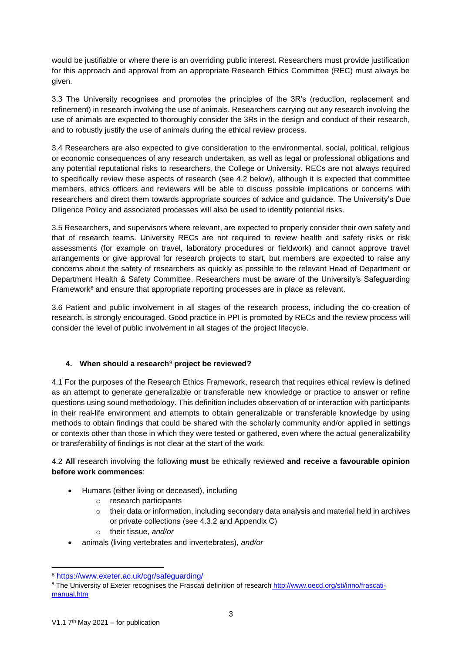would be justifiable or where there is an overriding public interest. Researchers must provide justification for this approach and approval from an appropriate Research Ethics Committee (REC) must always be given.

3.3 The University recognises and promotes the principles of the 3R's (reduction, replacement and refinement) in research involving the use of animals. Researchers carrying out any research involving the use of animals are expected to thoroughly consider the 3Rs in the design and conduct of their research, and to robustly justify the use of animals during the ethical review process.

3.4 Researchers are also expected to give consideration to the environmental, social, political, religious or economic consequences of any research undertaken, as well as legal or professional obligations and any potential reputational risks to researchers, the College or University. RECs are not always required to specifically review these aspects of research (see 4.2 below), although it is expected that committee members, ethics officers and reviewers will be able to discuss possible implications or concerns with researchers and direct them towards appropriate sources of advice and guidance. The University's Due Diligence Policy and associated processes will also be used to identify potential risks.

3.5 Researchers, and supervisors where relevant, are expected to properly consider their own safety and that of research teams. University RECs are not required to review health and safety risks or risk assessments (for example on travel, laboratory procedures or fieldwork) and cannot approve travel arrangements or give approval for research projects to start, but members are expected to raise any concerns about the safety of researchers as quickly as possible to the relevant Head of Department or Department Health & Safety Committee. Researchers must be aware of the University's Safeguarding Framework $8$  and ensure that appropriate reporting processes are in place as relevant.

3.6 Patient and public involvement in all stages of the research process, including the co-creation of research, is strongly encouraged. Good practice in PPI is promoted by RECs and the review process will consider the level of public involvement in all stages of the project lifecycle.

# **4. When should a research**<sup>9</sup> **project be reviewed?**

4.1 For the purposes of the Research Ethics Framework, research that requires ethical review is defined as an attempt to generate generalizable or transferable new knowledge or practice to answer or refine questions using sound methodology. This definition includes observation of or interaction with participants in their real-life environment and attempts to obtain generalizable or transferable knowledge by using methods to obtain findings that could be shared with the scholarly community and/or applied in settings or contexts other than those in which they were tested or gathered, even where the actual generalizability or transferability of findings is not clear at the start of the work.

# 4.2 **All** research involving the following **must** be ethically reviewed **and receive a favourable opinion before work commences**:

- Humans (either living or deceased), including
	- o research participants
	- o their data or information, including secondary data analysis and material held in archives or private collections (see 4.3.2 and Appendix C)
	- o their tissue, *and/or*
- animals (living vertebrates and invertebrates), *and/or*

**.** 

<sup>8</sup> <https://www.exeter.ac.uk/cgr/safeguarding/>

<sup>9</sup> The University of Exeter recognises the Frascati definition of research [http://www.oecd.org/sti/inno/frascati](http://www.oecd.org/sti/inno/frascati-manual.htm)[manual.htm](http://www.oecd.org/sti/inno/frascati-manual.htm)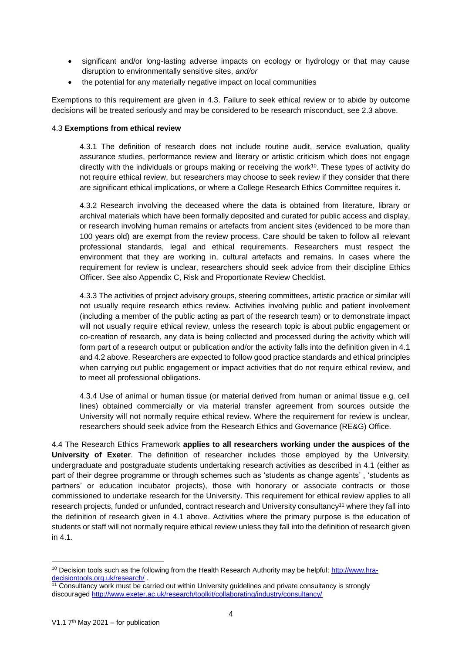- significant and/or long-lasting adverse impacts on ecology or hydrology or that may cause disruption to environmentally sensitive sites, *and/or*
- the potential for any materially negative impact on local communities

Exemptions to this requirement are given in 4.3. Failure to seek ethical review or to abide by outcome decisions will be treated seriously and may be considered to be research misconduct, see 2.3 above.

### 4.3 **Exemptions from ethical review**

4.3.1 The definition of research does not include routine audit, service evaluation, quality assurance studies, performance review and literary or artistic criticism which does not engage directly with the individuals or groups making or receiving the work<sup>10</sup>. These types of activity do not require ethical review, but researchers may choose to seek review if they consider that there are significant ethical implications, or where a College Research Ethics Committee requires it.

4.3.2 Research involving the deceased where the data is obtained from literature, library or archival materials which have been formally deposited and curated for public access and display, or research involving human remains or artefacts from ancient sites (evidenced to be more than 100 years old) are exempt from the review process. Care should be taken to follow all relevant professional standards, legal and ethical requirements. Researchers must respect the environment that they are working in, cultural artefacts and remains. In cases where the requirement for review is unclear, researchers should seek advice from their discipline Ethics Officer. See also Appendix C, Risk and Proportionate Review Checklist.

4.3.3 The activities of project advisory groups, steering committees, artistic practice or similar will not usually require research ethics review. Activities involving public and patient involvement (including a member of the public acting as part of the research team) or to demonstrate impact will not usually require ethical review, unless the research topic is about public engagement or co-creation of research, any data is being collected and processed during the activity which will form part of a research output or publication and/or the activity falls into the definition given in 4.1 and 4.2 above. Researchers are expected to follow good practice standards and ethical principles when carrying out public engagement or impact activities that do not require ethical review, and to meet all professional obligations.

4.3.4 Use of animal or human tissue (or material derived from human or animal tissue e.g. cell lines) obtained commercially or via material transfer agreement from sources outside the University will not normally require ethical review. Where the requirement for review is unclear, researchers should seek advice from the Research Ethics and Governance (RE&G) Office.

4.4 The Research Ethics Framework **applies to all researchers working under the auspices of the University of Exeter**. The definition of researcher includes those employed by the University, undergraduate and postgraduate students undertaking research activities as described in 4.1 (either as part of their degree programme or through schemes such as 'students as change agents' , 'students as partners' or education incubator projects), those with honorary or associate contracts or those commissioned to undertake research for the University. This requirement for ethical review applies to all research projects, funded or unfunded, contract research and University consultancy<sup>11</sup> where they fall into the definition of research given in 4.1 above. Activities where the primary purpose is the education of students or staff will not normally require ethical review unless they fall into the definition of research given in 4.1.

1

<sup>&</sup>lt;sup>10</sup> Decision tools such as the following from the Health Research Authority may be helpful: [http://www.hra](http://www.hra-decisiontools.org.uk/research/)[decisiontools.org.uk/research/](http://www.hra-decisiontools.org.uk/research/) .

<sup>&</sup>lt;sup>11</sup> Consultancy work must be carried out within University guidelines and private consultancy is strongly discouraged<http://www.exeter.ac.uk/research/toolkit/collaborating/industry/consultancy/>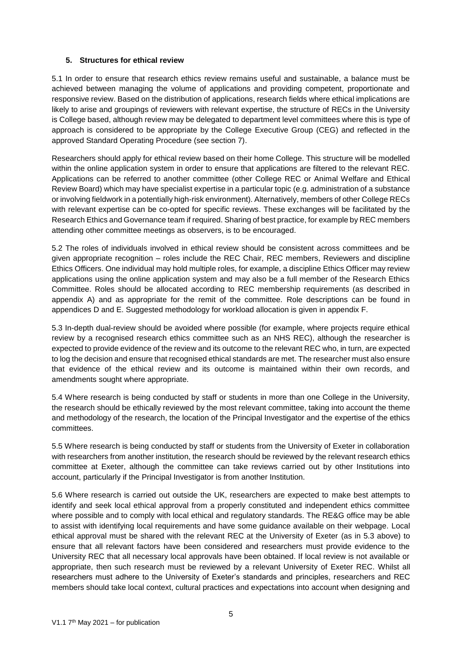### **5. Structures for ethical review**

5.1 In order to ensure that research ethics review remains useful and sustainable, a balance must be achieved between managing the volume of applications and providing competent, proportionate and responsive review. Based on the distribution of applications, research fields where ethical implications are likely to arise and groupings of reviewers with relevant expertise, the structure of RECs in the University is College based, although review may be delegated to department level committees where this is type of approach is considered to be appropriate by the College Executive Group (CEG) and reflected in the approved Standard Operating Procedure (see section 7).

Researchers should apply for ethical review based on their home College. This structure will be modelled within the online application system in order to ensure that applications are filtered to the relevant REC. Applications can be referred to another committee (other College REC or Animal Welfare and Ethical Review Board) which may have specialist expertise in a particular topic (e.g. administration of a substance or involving fieldwork in a potentially high-risk environment). Alternatively, members of other College RECs with relevant expertise can be co-opted for specific reviews. These exchanges will be facilitated by the Research Ethics and Governance team if required. Sharing of best practice, for example by REC members attending other committee meetings as observers, is to be encouraged.

5.2 The roles of individuals involved in ethical review should be consistent across committees and be given appropriate recognition – roles include the REC Chair, REC members, Reviewers and discipline Ethics Officers. One individual may hold multiple roles, for example, a discipline Ethics Officer may review applications using the online application system and may also be a full member of the Research Ethics Committee. Roles should be allocated according to REC membership requirements (as described in appendix A) and as appropriate for the remit of the committee. Role descriptions can be found in appendices D and E. Suggested methodology for workload allocation is given in appendix F.

5.3 In-depth dual-review should be avoided where possible (for example, where projects require ethical review by a recognised research ethics committee such as an NHS REC), although the researcher is expected to provide evidence of the review and its outcome to the relevant REC who, in turn, are expected to log the decision and ensure that recognised ethical standards are met. The researcher must also ensure that evidence of the ethical review and its outcome is maintained within their own records, and amendments sought where appropriate.

5.4 Where research is being conducted by staff or students in more than one College in the University, the research should be ethically reviewed by the most relevant committee, taking into account the theme and methodology of the research, the location of the Principal Investigator and the expertise of the ethics committees.

5.5 Where research is being conducted by staff or students from the University of Exeter in collaboration with researchers from another institution, the research should be reviewed by the relevant research ethics committee at Exeter, although the committee can take reviews carried out by other Institutions into account, particularly if the Principal Investigator is from another Institution.

5.6 Where research is carried out outside the UK, researchers are expected to make best attempts to identify and seek local ethical approval from a properly constituted and independent ethics committee where possible and to comply with local ethical and regulatory standards. The RE&G office may be able to assist with identifying local requirements and have some guidance available on their webpage. Local ethical approval must be shared with the relevant REC at the University of Exeter (as in 5.3 above) to ensure that all relevant factors have been considered and researchers must provide evidence to the University REC that all necessary local approvals have been obtained. If local review is not available or appropriate, then such research must be reviewed by a relevant University of Exeter REC. Whilst all researchers must adhere to the University of Exeter's standards and principles, researchers and REC members should take local context, cultural practices and expectations into account when designing and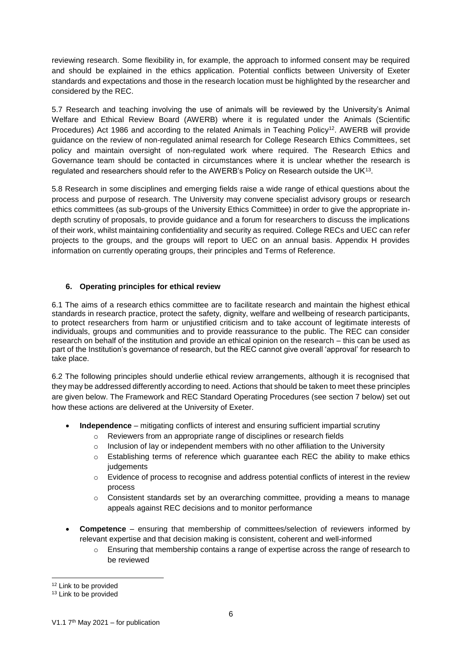reviewing research. Some flexibility in, for example, the approach to informed consent may be required and should be explained in the ethics application. Potential conflicts between University of Exeter standards and expectations and those in the research location must be highlighted by the researcher and considered by the REC.

5.7 Research and teaching involving the use of animals will be reviewed by the University's Animal Welfare and Ethical Review Board (AWERB) where it is regulated under the Animals (Scientific Procedures) Act 1986 and according to the related Animals in Teaching Policy<sup>12</sup>. AWERB will provide guidance on the review of non-regulated animal research for College Research Ethics Committees, set policy and maintain oversight of non-regulated work where required. The Research Ethics and Governance team should be contacted in circumstances where it is unclear whether the research is regulated and researchers should refer to the AWERB's Policy on Research outside the UK<sup>13</sup>.

5.8 Research in some disciplines and emerging fields raise a wide range of ethical questions about the process and purpose of research. The University may convene specialist advisory groups or research ethics committees (as sub-groups of the University Ethics Committee) in order to give the appropriate indepth scrutiny of proposals, to provide guidance and a forum for researchers to discuss the implications of their work, whilst maintaining confidentiality and security as required. College RECs and UEC can refer projects to the groups, and the groups will report to UEC on an annual basis. Appendix H provides information on currently operating groups, their principles and Terms of Reference.

### **6. Operating principles for ethical review**

6.1 The aims of a research ethics committee are to facilitate research and maintain the highest ethical standards in research practice, protect the safety, dignity, welfare and wellbeing of research participants, to protect researchers from harm or unjustified criticism and to take account of legitimate interests of individuals, groups and communities and to provide reassurance to the public. The REC can consider research on behalf of the institution and provide an ethical opinion on the research – this can be used as part of the Institution's governance of research, but the REC cannot give overall 'approval' for research to take place.

6.2 The following principles should underlie ethical review arrangements, although it is recognised that they may be addressed differently according to need. Actions that should be taken to meet these principles are given below. The Framework and REC Standard Operating Procedures (see section 7 below) set out how these actions are delivered at the University of Exeter.

- **Independence** mitigating conflicts of interest and ensuring sufficient impartial scrutiny
	- $\circ$  Reviewers from an appropriate range of disciplines or research fields
	- $\circ$  Inclusion of lay or independent members with no other affiliation to the University
	- o Establishing terms of reference which guarantee each REC the ability to make ethics **judgements**
	- $\circ$  Evidence of process to recognise and address potential conflicts of interest in the review process
	- $\circ$  Consistent standards set by an overarching committee, providing a means to manage appeals against REC decisions and to monitor performance
- **Competence** ensuring that membership of committees/selection of reviewers informed by relevant expertise and that decision making is consistent, coherent and well-informed
	- $\circ$  Ensuring that membership contains a range of expertise across the range of research to be reviewed

1

<sup>&</sup>lt;sup>12</sup> Link to be provided

<sup>&</sup>lt;sup>13</sup> Link to be provided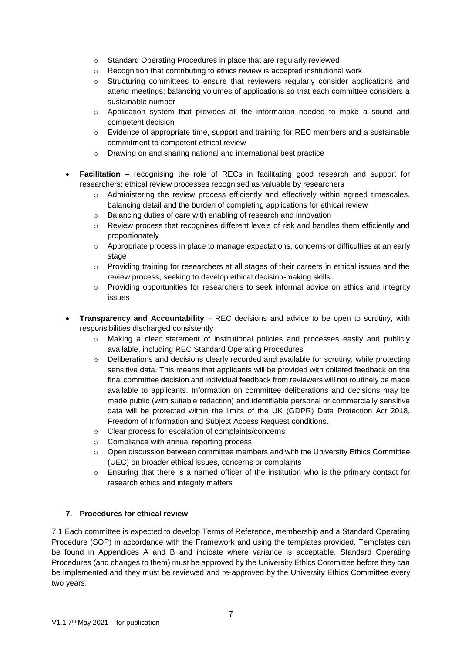- o Standard Operating Procedures in place that are regularly reviewed
- o Recognition that contributing to ethics review is accepted institutional work
- $\circ$  Structuring committees to ensure that reviewers regularly consider applications and attend meetings; balancing volumes of applications so that each committee considers a sustainable number
- $\circ$  Application system that provides all the information needed to make a sound and competent decision
- $\circ$  Evidence of appropriate time, support and training for REC members and a sustainable commitment to competent ethical review
- o Drawing on and sharing national and international best practice
- **Facilitation** recognising the role of RECs in facilitating good research and support for researchers; ethical review processes recognised as valuable by researchers
	- $\circ$  Administering the review process efficiently and effectively within agreed timescales, balancing detail and the burden of completing applications for ethical review
	- o Balancing duties of care with enabling of research and innovation
	- o Review process that recognises different levels of risk and handles them efficiently and proportionately
	- $\circ$  Appropriate process in place to manage expectations, concerns or difficulties at an early stage
	- o Providing training for researchers at all stages of their careers in ethical issues and the review process, seeking to develop ethical decision-making skills
	- $\circ$  Providing opportunities for researchers to seek informal advice on ethics and integrity issues
- **Transparency and Accountability** REC decisions and advice to be open to scrutiny, with responsibilities discharged consistently
	- o Making a clear statement of institutional policies and processes easily and publicly available, including REC Standard Operating Procedures
	- $\circ$  Deliberations and decisions clearly recorded and available for scrutiny, while protecting sensitive data. This means that applicants will be provided with collated feedback on the final committee decision and individual feedback from reviewers will not routinely be made available to applicants. Information on committee deliberations and decisions may be made public (with suitable redaction) and identifiable personal or commercially sensitive data will be protected within the limits of the UK (GDPR) Data Protection Act 2018, Freedom of Information and Subject Access Request conditions.
	- o Clear process for escalation of complaints/concerns
	- o Compliance with annual reporting process
	- $\circ$  Open discussion between committee members and with the University Ethics Committee (UEC) on broader ethical issues, concerns or complaints
	- $\circ$  Ensuring that there is a named officer of the institution who is the primary contact for research ethics and integrity matters

### **7. Procedures for ethical review**

7.1 Each committee is expected to develop Terms of Reference, membership and a Standard Operating Procedure (SOP) in accordance with the Framework and using the templates provided. Templates can be found in Appendices A and B and indicate where variance is acceptable. Standard Operating Procedures (and changes to them) must be approved by the University Ethics Committee before they can be implemented and they must be reviewed and re-approved by the University Ethics Committee every two years.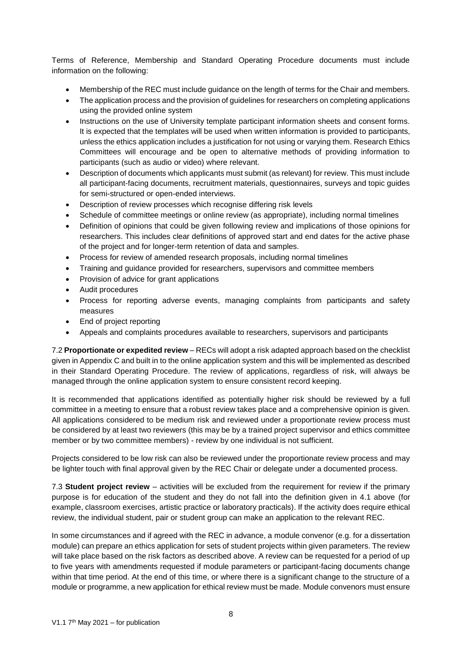Terms of Reference, Membership and Standard Operating Procedure documents must include information on the following:

- Membership of the REC must include guidance on the length of terms for the Chair and members.
- The application process and the provision of guidelines for researchers on completing applications using the provided online system
- Instructions on the use of University template participant information sheets and consent forms. It is expected that the templates will be used when written information is provided to participants, unless the ethics application includes a justification for not using or varying them. Research Ethics Committees will encourage and be open to alternative methods of providing information to participants (such as audio or video) where relevant.
- Description of documents which applicants must submit (as relevant) for review. This must include all participant-facing documents, recruitment materials, questionnaires, surveys and topic guides for semi-structured or open-ended interviews.
- Description of review processes which recognise differing risk levels
- Schedule of committee meetings or online review (as appropriate), including normal timelines
- Definition of opinions that could be given following review and implications of those opinions for researchers. This includes clear definitions of approved start and end dates for the active phase of the project and for longer-term retention of data and samples.
- Process for review of amended research proposals, including normal timelines
- Training and guidance provided for researchers, supervisors and committee members
- Provision of advice for grant applications
- Audit procedures
- Process for reporting adverse events, managing complaints from participants and safety measures
- End of project reporting
- Appeals and complaints procedures available to researchers, supervisors and participants

7.2 **Proportionate or expedited review** – RECs will adopt a risk adapted approach based on the checklist given in Appendix C and built in to the online application system and this will be implemented as described in their Standard Operating Procedure. The review of applications, regardless of risk, will always be managed through the online application system to ensure consistent record keeping.

It is recommended that applications identified as potentially higher risk should be reviewed by a full committee in a meeting to ensure that a robust review takes place and a comprehensive opinion is given. All applications considered to be medium risk and reviewed under a proportionate review process must be considered by at least two reviewers (this may be by a trained project supervisor and ethics committee member or by two committee members) - review by one individual is not sufficient.

Projects considered to be low risk can also be reviewed under the proportionate review process and may be lighter touch with final approval given by the REC Chair or delegate under a documented process.

7.3 **Student project review** – activities will be excluded from the requirement for review if the primary purpose is for education of the student and they do not fall into the definition given in 4.1 above (for example, classroom exercises, artistic practice or laboratory practicals). If the activity does require ethical review, the individual student, pair or student group can make an application to the relevant REC.

In some circumstances and if agreed with the REC in advance, a module convenor (e.g. for a dissertation module) can prepare an ethics application for sets of student projects within given parameters. The review will take place based on the risk factors as described above. A review can be requested for a period of up to five years with amendments requested if module parameters or participant-facing documents change within that time period. At the end of this time, or where there is a significant change to the structure of a module or programme, a new application for ethical review must be made. Module convenors must ensure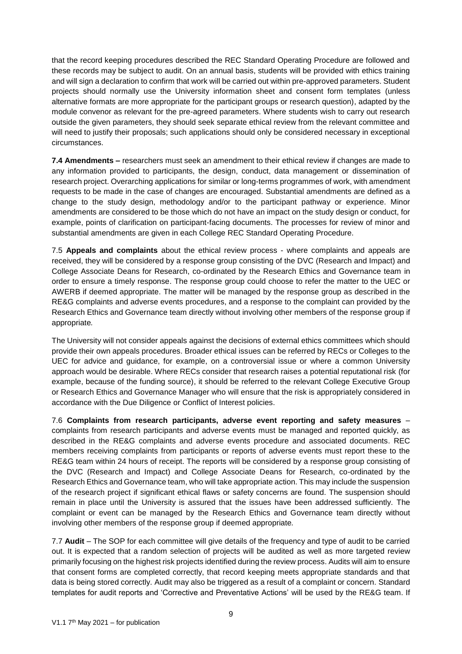that the record keeping procedures described the REC Standard Operating Procedure are followed and these records may be subject to audit. On an annual basis, students will be provided with ethics training and will sign a declaration to confirm that work will be carried out within pre-approved parameters. Student projects should normally use the University information sheet and consent form templates (unless alternative formats are more appropriate for the participant groups or research question), adapted by the module convenor as relevant for the pre-agreed parameters. Where students wish to carry out research outside the given parameters, they should seek separate ethical review from the relevant committee and will need to justify their proposals; such applications should only be considered necessary in exceptional circumstances.

**7.4 Amendments –** researchers must seek an amendment to their ethical review if changes are made to any information provided to participants, the design, conduct, data management or dissemination of research project. Overarching applications for similar or long-terms programmes of work, with amendment requests to be made in the case of changes are encouraged. Substantial amendments are defined as a change to the study design, methodology and/or to the participant pathway or experience. Minor amendments are considered to be those which do not have an impact on the study design or conduct, for example, points of clarification on participant-facing documents. The processes for review of minor and substantial amendments are given in each College REC Standard Operating Procedure.

7.5 **Appeals and complaints** about the ethical review process - where complaints and appeals are received, they will be considered by a response group consisting of the DVC (Research and Impact) and College Associate Deans for Research, co-ordinated by the Research Ethics and Governance team in order to ensure a timely response. The response group could choose to refer the matter to the UEC or AWERB if deemed appropriate. The matter will be managed by the response group as described in the RE&G complaints and adverse events procedures, and a response to the complaint can provided by the Research Ethics and Governance team directly without involving other members of the response group if appropriate*.*

The University will not consider appeals against the decisions of external ethics committees which should provide their own appeals procedures. Broader ethical issues can be referred by RECs or Colleges to the UEC for advice and guidance, for example, on a controversial issue or where a common University approach would be desirable. Where RECs consider that research raises a potential reputational risk (for example, because of the funding source), it should be referred to the relevant College Executive Group or Research Ethics and Governance Manager who will ensure that the risk is appropriately considered in accordance with the Due Diligence or Conflict of Interest policies.

7.6 **Complaints from research participants, adverse event reporting and safety measures** – complaints from research participants and adverse events must be managed and reported quickly, as described in the RE&G complaints and adverse events procedure and associated documents. REC members receiving complaints from participants or reports of adverse events must report these to the RE&G team within 24 hours of receipt. The reports will be considered by a response group consisting of the DVC (Research and Impact) and College Associate Deans for Research, co-ordinated by the Research Ethics and Governance team, who will take appropriate action. This may include the suspension of the research project if significant ethical flaws or safety concerns are found. The suspension should remain in place until the University is assured that the issues have been addressed sufficiently. The complaint or event can be managed by the Research Ethics and Governance team directly without involving other members of the response group if deemed appropriate*.*

7.7 **Audit** – The SOP for each committee will give details of the frequency and type of audit to be carried out. It is expected that a random selection of projects will be audited as well as more targeted review primarily focusing on the highest risk projects identified during the review process. Audits will aim to ensure that consent forms are completed correctly, that record keeping meets appropriate standards and that data is being stored correctly. Audit may also be triggered as a result of a complaint or concern. Standard templates for audit reports and 'Corrective and Preventative Actions' will be used by the RE&G team. If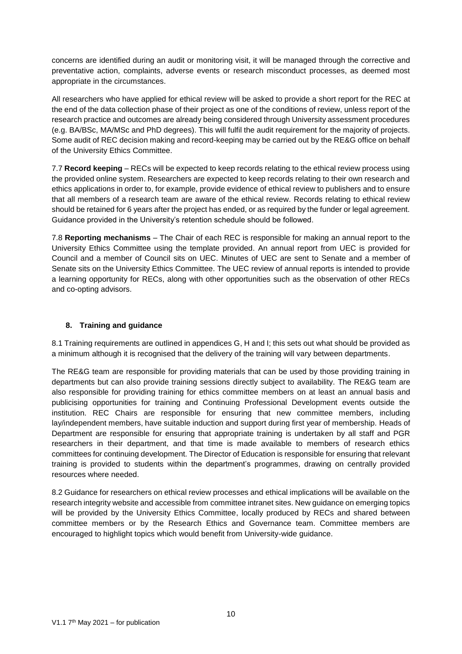concerns are identified during an audit or monitoring visit, it will be managed through the corrective and preventative action, complaints, adverse events or research misconduct processes, as deemed most appropriate in the circumstances.

All researchers who have applied for ethical review will be asked to provide a short report for the REC at the end of the data collection phase of their project as one of the conditions of review, unless report of the research practice and outcomes are already being considered through University assessment procedures (e.g. BA/BSc, MA/MSc and PhD degrees). This will fulfil the audit requirement for the majority of projects. Some audit of REC decision making and record-keeping may be carried out by the RE&G office on behalf of the University Ethics Committee.

7.7 **Record keeping** – RECs will be expected to keep records relating to the ethical review process using the provided online system. Researchers are expected to keep records relating to their own research and ethics applications in order to, for example, provide evidence of ethical review to publishers and to ensure that all members of a research team are aware of the ethical review. Records relating to ethical review should be retained for 6 years after the project has ended, or as required by the funder or legal agreement. Guidance provided in the University's retention schedule should be followed.

7.8 **Reporting mechanisms** – The Chair of each REC is responsible for making an annual report to the University Ethics Committee using the template provided. An annual report from UEC is provided for Council and a member of Council sits on UEC. Minutes of UEC are sent to Senate and a member of Senate sits on the University Ethics Committee. The UEC review of annual reports is intended to provide a learning opportunity for RECs, along with other opportunities such as the observation of other RECs and co-opting advisors.

# **8. Training and guidance**

8.1 Training requirements are outlined in appendices G, H and I; this sets out what should be provided as a minimum although it is recognised that the delivery of the training will vary between departments.

The RE&G team are responsible for providing materials that can be used by those providing training in departments but can also provide training sessions directly subject to availability. The RE&G team are also responsible for providing training for ethics committee members on at least an annual basis and publicising opportunities for training and Continuing Professional Development events outside the institution. REC Chairs are responsible for ensuring that new committee members, including lay/independent members, have suitable induction and support during first year of membership. Heads of Department are responsible for ensuring that appropriate training is undertaken by all staff and PGR researchers in their department, and that time is made available to members of research ethics committees for continuing development. The Director of Education is responsible for ensuring that relevant training is provided to students within the department's programmes, drawing on centrally provided resources where needed.

8.2 Guidance for researchers on ethical review processes and ethical implications will be available on the research integrity website and accessible from committee intranet sites. New guidance on emerging topics will be provided by the University Ethics Committee, locally produced by RECs and shared between committee members or by the Research Ethics and Governance team. Committee members are encouraged to highlight topics which would benefit from University-wide guidance.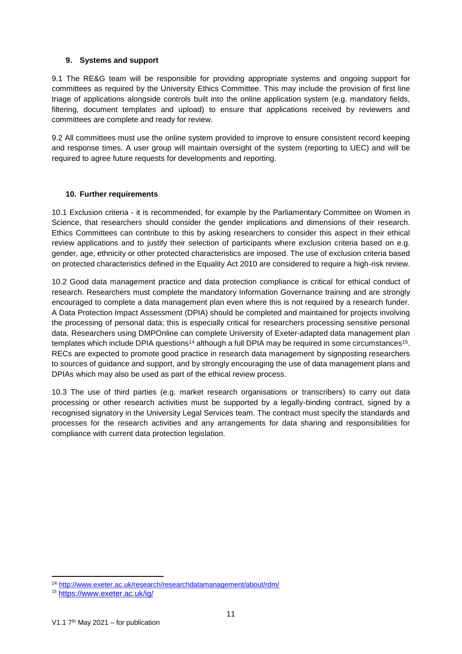### **9. Systems and support**

9.1 The RE&G team will be responsible for providing appropriate systems and ongoing support for committees as required by the University Ethics Committee. This may include the provision of first line triage of applications alongside controls built into the online application system (e.g. mandatory fields, filtering, document templates and upload) to ensure that applications received by reviewers and committees are complete and ready for review.

9.2 All committees must use the online system provided to improve to ensure consistent record keeping and response times. A user group will maintain oversight of the system (reporting to UEC) and will be required to agree future requests for developments and reporting.

#### **10. Further requirements**

10.1 Exclusion criteria - it is recommended, for example by the Parliamentary Committee on Women in Science, that researchers should consider the gender implications and dimensions of their research. Ethics Committees can contribute to this by asking researchers to consider this aspect in their ethical review applications and to justify their selection of participants where exclusion criteria based on e.g. gender, age, ethnicity or other protected characteristics are imposed. The use of exclusion criteria based on protected characteristics defined in the Equality Act 2010 are considered to require a high-risk review.

10.2 Good data management practice and data protection compliance is critical for ethical conduct of research. Researchers must complete the mandatory Information Governance training and are strongly encouraged to complete a data management plan even where this is not required by a research funder. A Data Protection Impact Assessment (DPIA) should be completed and maintained for projects involving the processing of personal data; this is especially critical for researchers processing sensitive personal data. Researchers using DMPOnline can complete University of Exeter-adapted data management plan templates which include DPIA questions<sup>14</sup> although a full DPIA may be required in some circumstances<sup>15</sup>. RECs are expected to promote good practice in research data management by signposting researchers to sources of guidance and support, and by strongly encouraging the use of data management plans and DPIAs which may also be used as part of the ethical review process.

10.3 The use of third parties (e.g. market research organisations or transcribers) to carry out data processing or other research activities must be supported by a legally-binding contract, signed by a recognised signatory in the University Legal Services team. The contract must specify the standards and processes for the research activities and any arrangements for data sharing and responsibilities for compliance with current data protection legislation.

 $\overline{a}$ <sup>14</sup> <http://www.exeter.ac.uk/research/researchdatamanagement/about/rdm/>

<sup>15</sup> <https://www.exeter.ac.uk/ig/>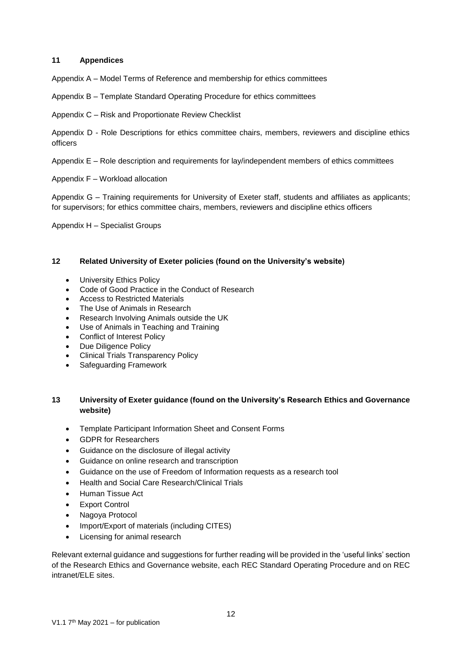### **11 Appendices**

Appendix A – Model Terms of Reference and membership for ethics committees

Appendix B – Template Standard Operating Procedure for ethics committees

Appendix C – Risk and Proportionate Review Checklist

Appendix D - Role Descriptions for ethics committee chairs, members, reviewers and discipline ethics officers

Appendix E – Role description and requirements for lay/independent members of ethics committees

Appendix F – Workload allocation

Appendix G – Training requirements for University of Exeter staff, students and affiliates as applicants; for supervisors; for ethics committee chairs, members, reviewers and discipline ethics officers

Appendix H – Specialist Groups

### **12 Related University of Exeter policies (found on the University's website)**

- University Ethics Policy
- Code of Good Practice in the Conduct of Research
- Access to Restricted Materials
- The Use of Animals in Research
- Research Involving Animals outside the UK
- Use of Animals in Teaching and Training
- Conflict of Interest Policy
- Due Diligence Policy
- Clinical Trials Transparency Policy
- Safeguarding Framework

# **13 University of Exeter guidance (found on the University's Research Ethics and Governance website)**

- Template Participant Information Sheet and Consent Forms
- GDPR for Researchers
- Guidance on the disclosure of illegal activity
- Guidance on online research and transcription
- Guidance on the use of Freedom of Information requests as a research tool
- Health and Social Care Research/Clinical Trials
- Human Tissue Act
- Export Control
- Nagoya Protocol
- Import/Export of materials (including CITES)
- Licensing for animal research

Relevant external guidance and suggestions for further reading will be provided in the 'useful links' section of the Research Ethics and Governance website, each REC Standard Operating Procedure and on REC intranet/ELE sites.